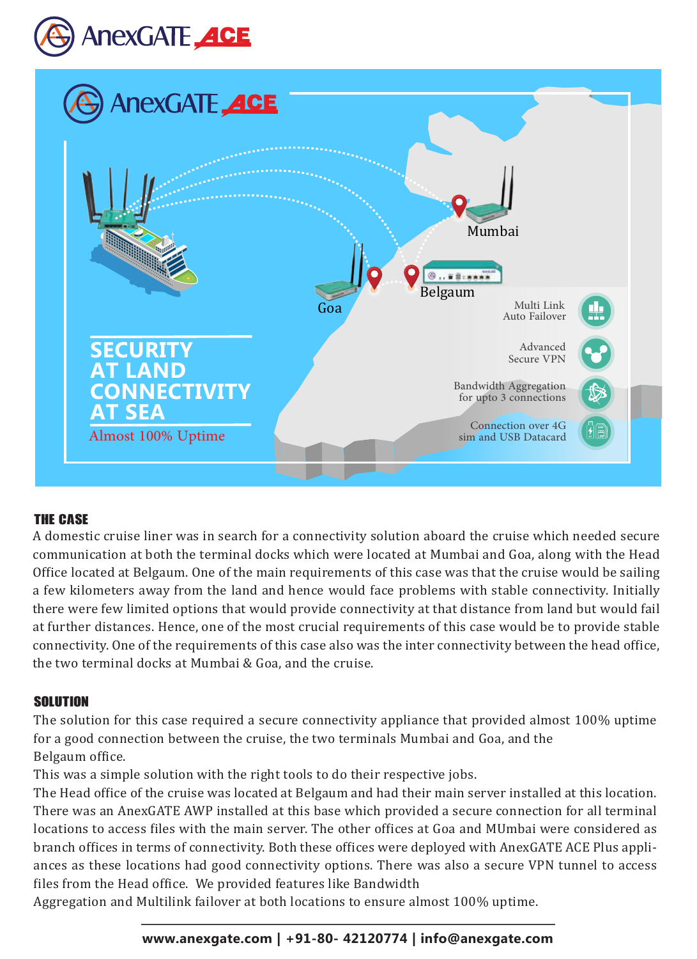



# The case

A domestic cruise liner was in search for a connectivity solution aboard the cruise which needed secure communication at both the terminal docks which were located at Mumbai and Goa, along with the Head Office located at Belgaum. One of the main requirements of this case was that the cruise would be sailing a few kilometers away from the land and hence would face problems with stable connectivity. Initially there were few limited options that would provide connectivity at that distance from land but would fail at further distances. Hence, one of the most crucial requirements of this case would be to provide stable connectivity. One of the requirements of this case also was the inter connectivity between the head office, the two terminal docks at Mumbai & Goa, and the cruise.

## Solution:

The solution for this case required a secure connectivity appliance that provided almost 100% uptime for a good connection between the cruise, the two terminals Mumbai and Goa, and the Belgaum office.

This was a simple solution with the right tools to do their respective jobs.

The Head office of the cruise was located at Belgaum and had their main server installed at this location. There was an AnexGATE AWP installed at this base which provided a secure connection for all terminal locations to access files with the main server. The other offices at Goa and MUmbai were considered as branch offices in terms of connectivity. Both these offices were deployed with AnexGATE ACE Plus appliances as these locations had good connectivity options. There was also a secure VPN tunnel to access files from the Head office. We provided features like Bandwidth

Aggregation and Multilink failover at both locations to ensure almost 100% uptime.

# **www.anexgate.com | +91-80- 42120774 | info@anexgate.com**